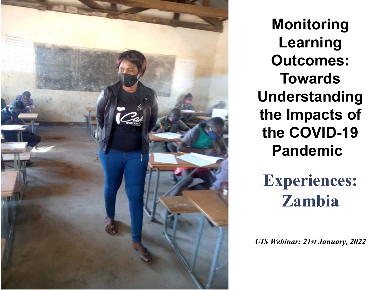

**Monitoring Learning Outcomes: Towards Understanding the Impacts of the COVID-19 Pandemic**

**Experiences: Zambia**

*UIS Webinar: 21st January, 2022*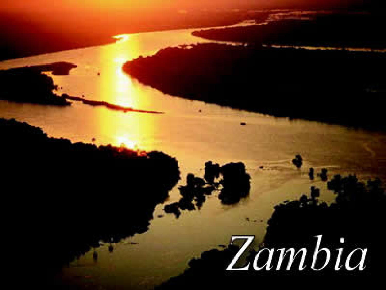# Zambia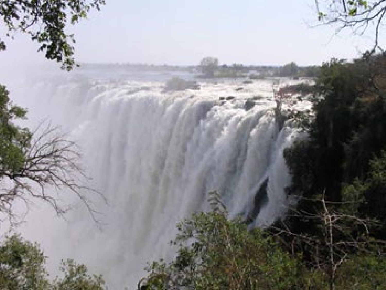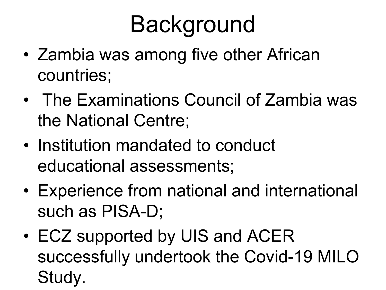# **Background**

- Zambia was among five other African countries;
- The Examinations Council of Zambia was the National Centre;
- Institution mandated to conduct educational assessments;
- Experience from national and international such as PISA-D;
- ECZ supported by UIS and ACER successfully undertook the Covid-19 MILO Study.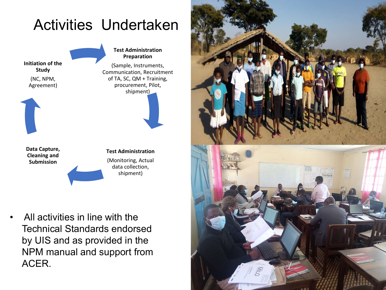

**Initiation of the Study** (NC, NPM, Agreement)



**Test Administration Preparation** 

(Sample, Instruments, Communication, Recruitment of TA, SC, QM + Training, procurement, Pilot, shipment)

**Data Capture, Cleaning and Submission**

**Test Administration** (Monitoring, Actual data collection, shipment)

• All activities in line with the Technical Standards endorsed by UIS and as provided in the NPM manual and support from ACER.

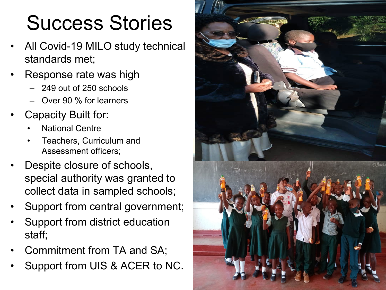### Success Stories

- All Covid-19 MILO study technical standards met;
- Response rate was high
	- 249 out of 250 schools
	- Over 90 % for learners
- Capacity Built for:
	- **National Centre**
	- Teachers, Curriculum and Assessment officers;
- Despite closure of schools, special authority was granted to collect data in sampled schools;
- Support from central government;
- Support from district education staff;
- Commitment from TA and SA;
- Support from UIS & ACER to NC.

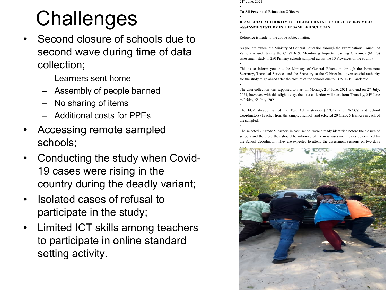## **Challenges**

- Second closure of schools due to second wave during time of data collection;
	- Learners sent home
	- Assembly of people banned
	- No sharing of items
	- Additional costs for PPEs
- Accessing remote sampled schools;
- Conducting the study when Covid-19 cases were rising in the country during the deadly variant;
- Isolated cases of refusal to participate in the study;
- Limited ICT skills among teachers to participate in online standard setting activity.

21st June, 2021

•

•

• **To All Provincial Education Officers**

#### **RE: SPECIAL AUTHORITY TO COLLECT DATA FOR THE COVID-19 MILO ASSESSMENT STUDY IN THE SAMPLED SCHOOLS**

Reference is made to the above subject matter.

As you are aware, the Ministry of General Education through the Examinations Council of Zambia is undertaking the COVID-19: Monitoring Impacts Learning Outcomes (MILO) assessment study in 250 Primary schools sampled across the 10 Provinces of the country.

• This is to inform you that the Ministry of General Education through the Permanent Secretary, Technical Services and the Secretary to the Cabinet has given special authority for the study to go ahead after the closure of the schools due to COVID-19 Pandemic.

• The data collection was supposed to start on Monday,  $21<sup>st</sup>$  June,  $2021$  and end on  $2<sup>nd</sup>$  July, 2021, however, with this slight delay, the data collection will start from Thursday, 24<sup>th</sup> June to Friday, 9th July, 2021.

• The ECZ already trained the Test Administrators (PRCCs and DRCCs) and School Coordinators (Teacher from the sampled school) and selected 20 Grade 5 learners in each of the sampled.

• The selected 20 grade 5 learners in each school were already identified before the closure of schools and therefore they should be informed of the new assessment dates determined by the School Coordinator. They are expected to attend the assessment sessions on two days